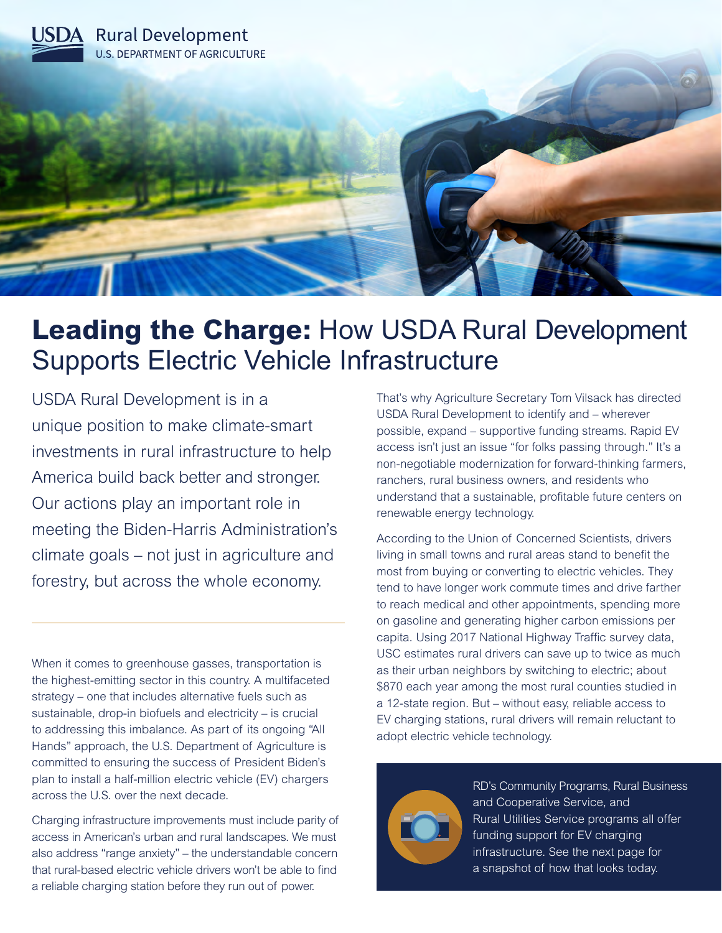

# **Leading the Charge:** How USDA Rural Development Supports Electric Vehicle Infrastructure

USDA Rural Development is in a unique position to make climate-smart investments in rural infrastructure to help America build back better and stronger. Our actions play an important role in meeting the Biden-Harris Administration's climate goals – not just in agriculture and forestry, but across the whole economy.

When it comes to greenhouse gasses, transportation is the highest-emitting sector in this country. A multifaceted strategy – one that includes alternative fuels such as sustainable, drop-in biofuels and electricity – is crucial to addressing this imbalance. As part of its ongoing "All Hands" approach, the U.S. Department of Agriculture is committed to ensuring the success of President Biden's plan to install a half-million electric vehicle (EV) chargers across the U.S. over the next decade.

Charging infrastructure improvements must include parity of access in American's urban and rural landscapes. We must also address "range anxiety" – the understandable concern that rural-based electric vehicle drivers won't be able to find a reliable charging station before they run out of power.

That's why Agriculture Secretary Tom Vilsack has directed USDA Rural Development to identify and – wherever possible, expand – supportive funding streams. Rapid EV access isn't just an issue "for folks passing through." It's a non-negotiable modernization for forward-thinking farmers, ranchers, rural business owners, and residents who understand that a sustainable, profitable future centers on renewable energy technology.

According to the Union of Concerned Scientists, drivers living in small towns and rural areas stand to benefit the most from buying or converting to electric vehicles. They tend to have longer work commute times and drive farther to reach medical and other appointments, spending more on gasoline and generating higher carbon emissions per capita. Using 2017 National Highway Traffic survey data, USC estimates rural drivers can save up to twice as much as their urban neighbors by switching to electric; about \$870 each year among the most rural counties studied in a 12-state region. But – without easy, reliable access to EV charging stations, rural drivers will remain reluctant to adopt electric vehicle technology.



RD's Community Programs, Rural Business and Cooperative Service, and Rural Utilities Service programs all offer funding support for EV charging infrastructure. See the next page for a snapshot of how that looks today.